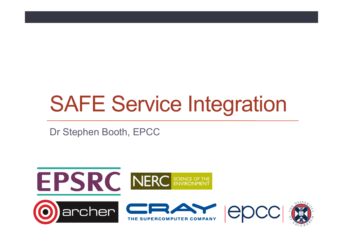# SAFE Service Integration

Dr Stephen Booth, EPCC

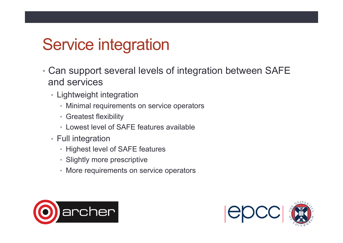### Service integration

- Can support several levels of integration between SAFE and services
	- Lightweight integration
		- Minimal requirements on service operators
		- Greatest flexibility
		- Lowest level of SAFE features available
	- Full integration
		- Highest level of SAFE features
		- Slightly more prescriptive
		- More requirements on service operators



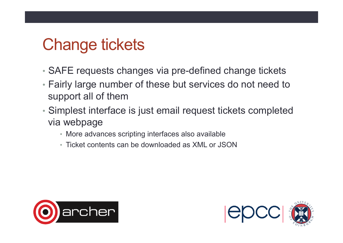# Change tickets

- SAFE requests changes via pre-defined change tickets
- Fairly large number of these but services do not need to support all of them
- Simplest interface is just email request tickets completed via webpage
	- More advances scripting interfaces also available
	- Ticket contents can be downloaded as XML or JSON



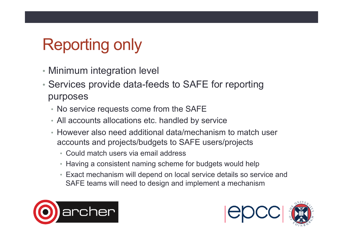# Reporting only

- Minimum integration level
- Services provide data-feeds to SAFE for reporting purposes
	- No service requests come from the SAFE
	- All accounts allocations etc. handled by service
	- However also need additional data/mechanism to match user accounts and projects/budgets to SAFE users/projects
		- Could match users via email address
		- Having a consistent naming scheme for budgets would help
		- Exact mechanism will depend on local service details so service and SAFE teams will need to design and implement a mechanism



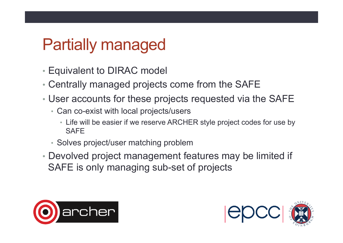### Partially managed

- Equivalent to DIRAC model
- Centrally managed projects come from the SAFE
- User accounts for these projects requested via the SAFE
	- Can co-exist with local projects/users
		- Life will be easier if we reserve ARCHER style project codes for use by **SAFF**
	- Solves project/user matching problem
- Devolved project management features may be limited if SAFE is only managing sub-set of projects



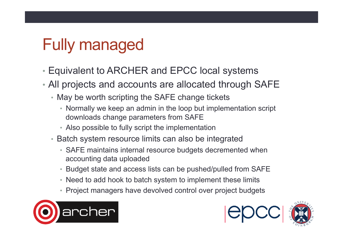# Fully managed

- Equivalent to ARCHER and EPCC local systems
- All projects and accounts are allocated through SAFE
	- May be worth scripting the SAFE change tickets
		- Normally we keep an admin in the loop but implementation script downloads change parameters from SAFE
		- Also possible to fully script the implementation
	- Batch system resource limits can also be integrated
		- SAFE maintains internal resource budgets decremented when accounting data uploaded
		- Budget state and access lists can be pushed/pulled from SAFE
		- Need to add hook to batch system to implement these limits
		- Project managers have devolved control over project budgets